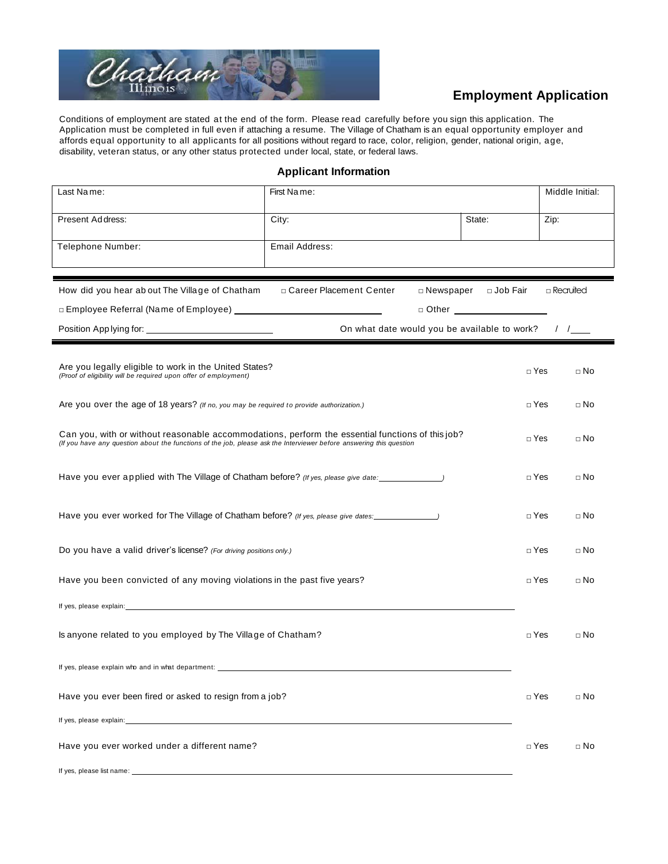

# **Employment Application**

Conditions of employment are stated at the end of the form. Please read carefully before you sign this application. The Application must be completed in full even if attaching a resume. The Village of Chatham is an equal opportunity employer and affords equal opportunity to all applicants for all positions without regard to race, color, religion, gender, national origin, age, disability, veteran status, or any other status protected under local, state, or federal laws.

**Applicant Information**

| Last Name:                                                                                                                                                                                                                     | First Name:               |                                              |            | Middle Initial: |  |
|--------------------------------------------------------------------------------------------------------------------------------------------------------------------------------------------------------------------------------|---------------------------|----------------------------------------------|------------|-----------------|--|
| Present Address:                                                                                                                                                                                                               | City:                     | State:                                       | Zip:       |                 |  |
| Telephone Number:                                                                                                                                                                                                              | Email Address:            |                                              |            |                 |  |
|                                                                                                                                                                                                                                |                           |                                              |            |                 |  |
| How did you hear ab out The Village of Chatham                                                                                                                                                                                 | □ Career Placement Center | □ Newspaper □ Job Fair                       |            | □ Recruited     |  |
|                                                                                                                                                                                                                                |                           | $\Box$ Other $\Box$                          |            |                 |  |
|                                                                                                                                                                                                                                |                           | On what date would you be available to work? |            | $\frac{1}{2}$   |  |
| Are you legally eligible to work in the United States?<br>(Proof of eligibility will be required upon offer of employment)                                                                                                     |                           |                                              | $\Box$ Yes | $\Box$ No       |  |
| Are you over the age of 18 years? (If no, you may be required to provide authorization.)                                                                                                                                       |                           |                                              | $\Box$ Yes | $\Box$ No       |  |
| Can you, with or without reasonable accommodations, perform the essential functions of this job?<br>(If you have any question about the functions of the job, please ask the Interviewer before answering this question        |                           |                                              | $\Box$ Yes | $\Box$ No       |  |
| Have you ever applied with The Village of Chatham before? (If yes, please give date: _______________                                                                                                                           |                           |                                              | $\Box$ Yes | $\Box$ No       |  |
| Have you ever worked for The Village of Chatham before? (If yes, please give dates: \\ \\ \\ \\ \\ \\ \\ \\ \                                                                                                                  |                           |                                              | $\Box$ Yes | $\Box$ No       |  |
| Do you have a valid driver's license? (For driving positions only.)                                                                                                                                                            |                           |                                              | $\Box$ Yes | $\square$ No    |  |
| Have you been convicted of any moving violations in the past five years?                                                                                                                                                       |                           |                                              | $\Box$ Yes | $\Box$ No       |  |
| If yes, please explain: example of the state of the state of the state of the state of the state of the state of the state of the state of the state of the state of the state of the state of the state of the state of the s |                           |                                              |            |                 |  |
| Is anyone related to you employed by The Village of Chatham?                                                                                                                                                                   |                           |                                              | $\Box$ Yes | $\Box$ No       |  |
| If yes, please explain who and in what department:                                                                                                                                                                             |                           |                                              |            |                 |  |
| Have you ever been fired or asked to resign from a job?                                                                                                                                                                        |                           |                                              | $\Box$ Yes | $\Box$ No       |  |
| If yes, please explain: The state of the state of the state of the state of the state of the state of the state of the state of the state of the state of the state of the state of the state of the state of the state of the |                           |                                              |            |                 |  |
| Have you ever worked under a different name?                                                                                                                                                                                   |                           |                                              | $\Box$ Yes | $\Box$ No       |  |
| If yes, please list name:                                                                                                                                                                                                      |                           |                                              |            |                 |  |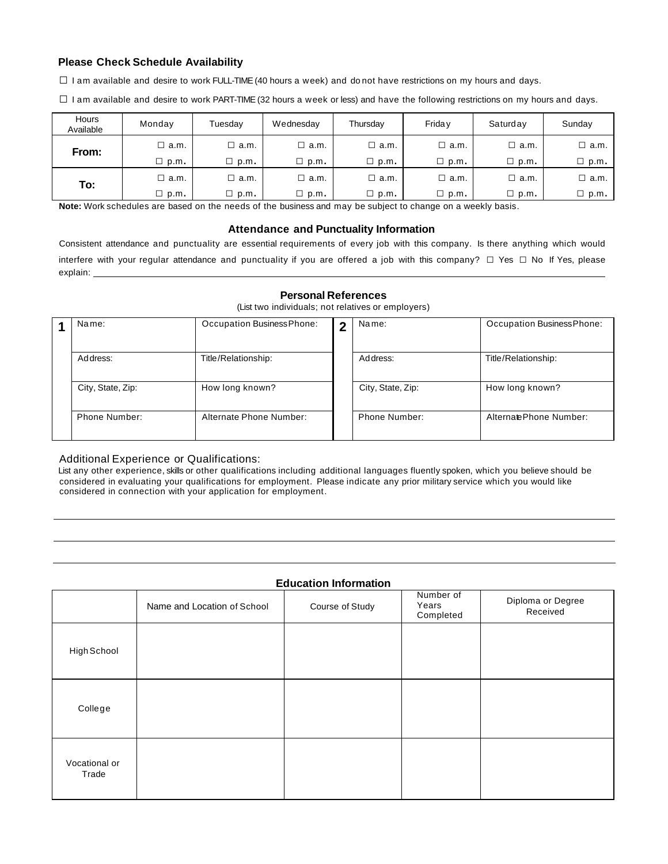### **Please Check Schedule Availability**

 $\square$  I am available and desire to work FULL-TIME (40 hours a week) and donot have restrictions on my hours and days.

 $\square$  I am available and desire to work PART-TIME (32 hours a week or less) and have the following restrictions on my hours and days.

| Hours<br>Available | Monday         | Tuesdav       | Wednesday   | Thursday    | Frida v     | Saturday    | Sunday         |
|--------------------|----------------|---------------|-------------|-------------|-------------|-------------|----------------|
| From:              | □ a.m.         | $\Box$ a.m.   | $\Box$ a.m. | □ a.m.      | $\Box$ a.m. | $\Box$ a.m. | $\Box$ a.m.    |
|                    | $\square$ p.m. | $\Box$ p.m.   | $\Box$ p.m. | $\Box$ p.m. | $\Box$ p.m. | $\Box$ p.m. | $\Box$ p.m.    |
| To:                | □ a.m.         | □ a.m.        | $\Box$ a.m. | □ a.m.      | $\Box$ a.m. | $\Box$ a.m. | $\square$ a.m. |
|                    | $\Box$ p.m.    | $\sqcup$ p.m. | $\Box$ p.m. | $\Box$ p.m. | $\Box$ p.m. | $\Box$ p.m. | $\Box$ p.m.    |

**Note:** Work schedules are based on the needs of the business and may be subject to change on a weekly basis.

### **Attendance and Punctuality Information**

Consistent attendance and punctuality are essential requirements of every job with this company. Is there anything which would interfere with your regular attendance and punctuality if you are offered <sup>a</sup> job with this company? □ Yes □ No If Yes, please explain: \_

#### **Personal References**

(List two individuals; not relatives or employers)

| Name:             | Occupation Business Phone: | $\overline{2}$ | Name:             | Occupation Business Phone: |
|-------------------|----------------------------|----------------|-------------------|----------------------------|
| Address:          | Title/Relationship:        |                | Address:          | Title/Relationship:        |
| City, State, Zip: | How long known?            |                | City, State, Zip: | How long known?            |
| Phone Number:     | Alternate Phone Number:    |                | Phone Number:     | Alternate Phone Number:    |

### Additional Experience or Qualifications:

List any other experience, skills or other qualifications including additional languages fluently spoken, which you believe should be considered in evaluating your qualifications for employment. Please indicate any prior military service which you would like considered in connection with your application for employment.

## **Education Information**

| ------------------     |                             |                 |                                 |                               |  |  |  |  |
|------------------------|-----------------------------|-----------------|---------------------------------|-------------------------------|--|--|--|--|
|                        | Name and Location of School | Course of Study | Number of<br>Years<br>Completed | Diploma or Degree<br>Received |  |  |  |  |
| High School            |                             |                 |                                 |                               |  |  |  |  |
| College                |                             |                 |                                 |                               |  |  |  |  |
| Vocational or<br>Trade |                             |                 |                                 |                               |  |  |  |  |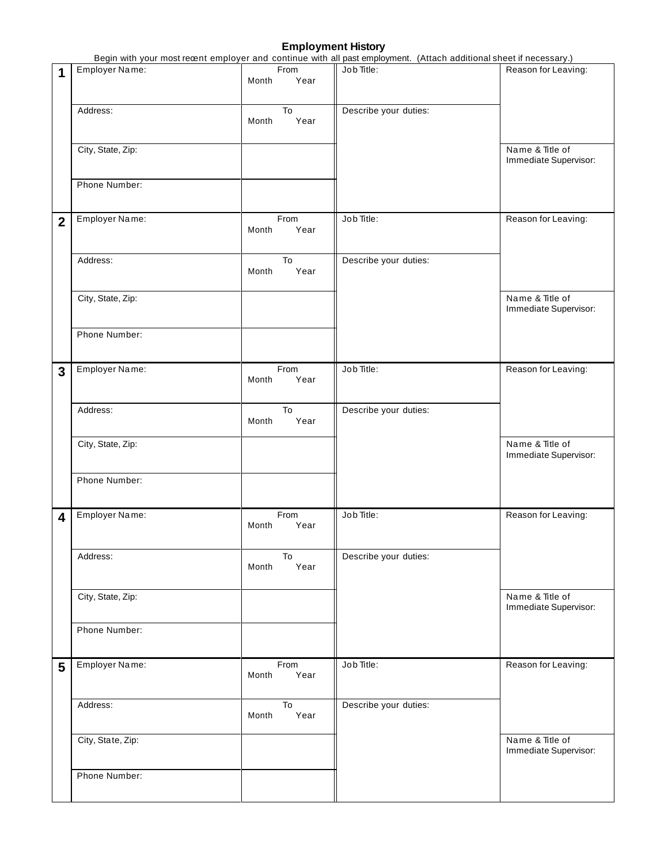## **Employment History**

|                         |                   |                       | Begin with your most recent employer and continue with all past employment. (Attach additional sheet if necessary.) |                                          |  |
|-------------------------|-------------------|-----------------------|---------------------------------------------------------------------------------------------------------------------|------------------------------------------|--|
| 1                       | Employer Name:    | From<br>Month<br>Year | Job Title:                                                                                                          | Reason for Leaving:                      |  |
|                         | Address:          | To<br>Year<br>Month   | Describe your duties:                                                                                               |                                          |  |
|                         | City, State, Zip: |                       |                                                                                                                     | Name & Title of<br>Immediate Supervisor: |  |
|                         | Phone Number:     |                       |                                                                                                                     |                                          |  |
| $\overline{2}$          | Employer Name:    | From<br>Year<br>Month | Job Title:                                                                                                          | Reason for Leaving:                      |  |
|                         | Address:          | To<br>Year<br>Month   | Describe your duties:                                                                                               |                                          |  |
|                         | City, State, Zip: |                       |                                                                                                                     | Name & Title of<br>Immediate Supervisor: |  |
|                         | Phone Number:     |                       |                                                                                                                     |                                          |  |
| 3                       | Employer Name:    | From<br>Year<br>Month | Job Title:                                                                                                          | Reason for Leaving:                      |  |
|                         | Address:          | To<br>Month<br>Year   | Describe your duties:                                                                                               |                                          |  |
|                         | City, State, Zip: |                       |                                                                                                                     | Name & Title of<br>Immediate Supervisor: |  |
|                         | Phone Number:     |                       |                                                                                                                     |                                          |  |
| $\overline{\mathbf{4}}$ | Employer Name:    | From<br>Month<br>Year | Job Title:                                                                                                          | Reason for Leaving:                      |  |
|                         | Address:          | To<br>Year<br>Month   | Describe your duties:                                                                                               |                                          |  |
|                         | City, State, Zip: |                       |                                                                                                                     | Name & Title of<br>Immediate Supervisor: |  |
|                         | Phone Number:     |                       |                                                                                                                     |                                          |  |
| 5                       | Employer Name:    | From<br>Year<br>Month | Job Title:                                                                                                          | Reason for Leaving:                      |  |
|                         | Address:          | To<br>Year<br>Month   | Describe your duties:                                                                                               |                                          |  |
|                         | City, State, Zip: |                       |                                                                                                                     | Name & Title of<br>Immediate Supervisor: |  |
|                         | Phone Number:     |                       |                                                                                                                     |                                          |  |